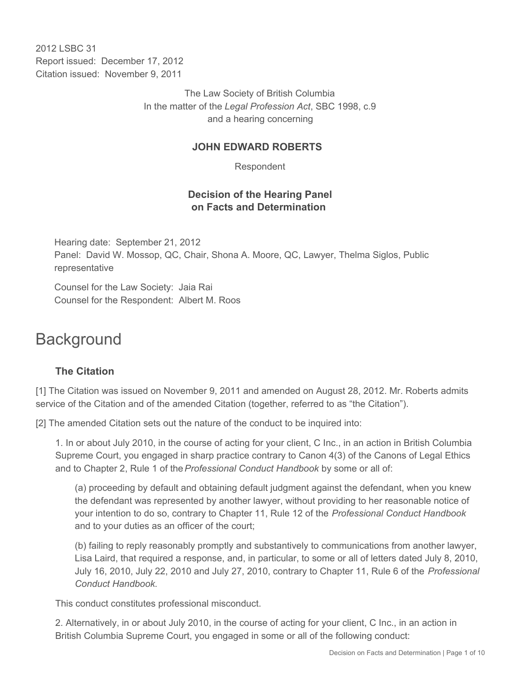2012 LSBC 31 Report issued: December 17, 2012 Citation issued: November 9, 2011

> The Law Society of British Columbia In the matter of the *Legal Profession Act*, SBC 1998, c.9 and a hearing concerning

#### **JOHN EDWARD ROBERTS**

Respondent

## **Decision of the Hearing Panel on Facts and Determination**

Hearing date: September 21, 2012 Panel: David W. Mossop, QC, Chair, Shona A. Moore, QC, Lawyer, Thelma Siglos, Public representative

Counsel for the Law Society: Jaia Rai Counsel for the Respondent: Albert M. Roos

# **Background**

## **The Citation**

[1] The Citation was issued on November 9, 2011 and amended on August 28, 2012. Mr. Roberts admits service of the Citation and of the amended Citation (together, referred to as "the Citation").

[2] The amended Citation sets out the nature of the conduct to be inquired into:

1. In or about July 2010, in the course of acting for your client, C Inc., in an action in British Columbia Supreme Court, you engaged in sharp practice contrary to Canon 4(3) of the Canons of Legal Ethics and to Chapter 2, Rule 1 of the *Professional Conduct Handbook* by some or all of:

(a) proceeding by default and obtaining default judgment against the defendant, when you knew the defendant was represented by another lawyer, without providing to her reasonable notice of your intention to do so, contrary to Chapter 11, Rule 12 of the *Professional Conduct Handbook* and to your duties as an officer of the court;

(b) failing to reply reasonably promptly and substantively to communications from another lawyer, Lisa Laird, that required a response, and, in particular, to some or all of letters dated July 8, 2010, July 16, 2010, July 22, 2010 and July 27, 2010, contrary to Chapter 11, Rule 6 of the *Professional Conduct Handbook*.

This conduct constitutes professional misconduct.

2. Alternatively, in or about July 2010, in the course of acting for your client, C Inc., in an action in British Columbia Supreme Court, you engaged in some or all of the following conduct: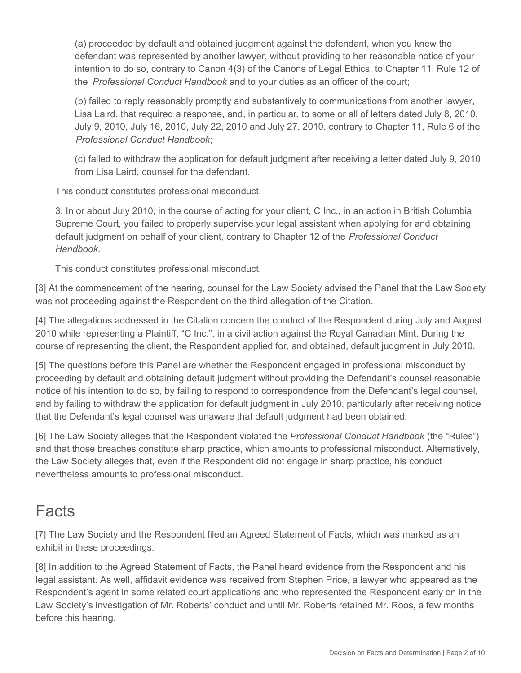(a) proceeded by default and obtained judgment against the defendant, when you knew the defendant was represented by another lawyer, without providing to her reasonable notice of your intention to do so, contrary to Canon 4(3) of the Canons of Legal Ethics, to Chapter 11, Rule 12 of the *Professional Conduct Handbook* and to your duties as an officer of the court;

(b) failed to reply reasonably promptly and substantively to communications from another lawyer, Lisa Laird, that required a response, and, in particular, to some or all of letters dated July 8, 2010, July 9, 2010, July 16, 2010, July 22, 2010 and July 27, 2010, contrary to Chapter 11, Rule 6 of the *Professional Conduct Handbook*;

(c) failed to withdraw the application for default judgment after receiving a letter dated July 9, 2010 from Lisa Laird, counsel for the defendant.

This conduct constitutes professional misconduct.

3. In or about July 2010, in the course of acting for your client, C Inc., in an action in British Columbia Supreme Court, you failed to properly supervise your legal assistant when applying for and obtaining default judgment on behalf of your client, contrary to Chapter 12 of the *Professional Conduct Handbook*.

This conduct constitutes professional misconduct.

[3] At the commencement of the hearing, counsel for the Law Society advised the Panel that the Law Society was not proceeding against the Respondent on the third allegation of the Citation.

[4] The allegations addressed in the Citation concern the conduct of the Respondent during July and August 2010 while representing a Plaintiff, "C Inc.", in a civil action against the Royal Canadian Mint. During the course of representing the client, the Respondent applied for, and obtained, default judgment in July 2010.

[5] The questions before this Panel are whether the Respondent engaged in professional misconduct by proceeding by default and obtaining default judgment without providing the Defendant's counsel reasonable notice of his intention to do so, by failing to respond to correspondence from the Defendant's legal counsel, and by failing to withdraw the application for default judgment in July 2010, particularly after receiving notice that the Defendant's legal counsel was unaware that default judgment had been obtained.

[6] The Law Society alleges that the Respondent violated the *Professional Conduct Handbook* (the "Rules") and that those breaches constitute sharp practice, which amounts to professional misconduct. Alternatively, the Law Society alleges that, even if the Respondent did not engage in sharp practice, his conduct nevertheless amounts to professional misconduct.

# **Facts**

[7] The Law Society and the Respondent filed an Agreed Statement of Facts, which was marked as an exhibit in these proceedings.

[8] In addition to the Agreed Statement of Facts, the Panel heard evidence from the Respondent and his legal assistant. As well, affidavit evidence was received from Stephen Price, a lawyer who appeared as the Respondent's agent in some related court applications and who represented the Respondent early on in the Law Society's investigation of Mr. Roberts' conduct and until Mr. Roberts retained Mr. Roos, a few months before this hearing.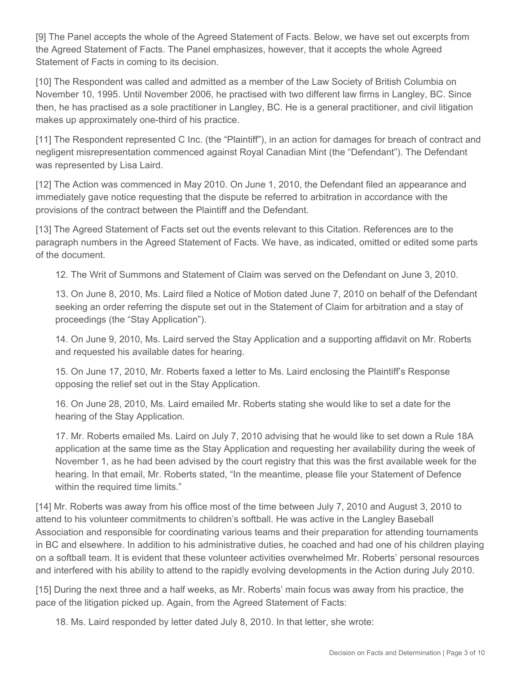[9] The Panel accepts the whole of the Agreed Statement of Facts. Below, we have set out excerpts from the Agreed Statement of Facts. The Panel emphasizes, however, that it accepts the whole Agreed Statement of Facts in coming to its decision.

[10] The Respondent was called and admitted as a member of the Law Society of British Columbia on November 10, 1995. Until November 2006, he practised with two different law firms in Langley, BC. Since then, he has practised as a sole practitioner in Langley, BC. He is a general practitioner, and civil litigation makes up approximately one-third of his practice.

[11] The Respondent represented C Inc. (the "Plaintiff"), in an action for damages for breach of contract and negligent misrepresentation commenced against Royal Canadian Mint (the "Defendant"). The Defendant was represented by Lisa Laird.

[12] The Action was commenced in May 2010. On June 1, 2010, the Defendant filed an appearance and immediately gave notice requesting that the dispute be referred to arbitration in accordance with the provisions of the contract between the Plaintiff and the Defendant.

[13] The Agreed Statement of Facts set out the events relevant to this Citation. References are to the paragraph numbers in the Agreed Statement of Facts. We have, as indicated, omitted or edited some parts of the document.

12. The Writ of Summons and Statement of Claim was served on the Defendant on June 3, 2010.

13. On June 8, 2010, Ms. Laird filed a Notice of Motion dated June 7, 2010 on behalf of the Defendant seeking an order referring the dispute set out in the Statement of Claim for arbitration and a stay of proceedings (the "Stay Application").

14. On June 9, 2010, Ms. Laird served the Stay Application and a supporting affidavit on Mr. Roberts and requested his available dates for hearing.

15. On June 17, 2010, Mr. Roberts faxed a letter to Ms. Laird enclosing the Plaintiff's Response opposing the relief set out in the Stay Application.

16. On June 28, 2010, Ms. Laird emailed Mr. Roberts stating she would like to set a date for the hearing of the Stay Application.

17. Mr. Roberts emailed Ms. Laird on July 7, 2010 advising that he would like to set down a Rule 18A application at the same time as the Stay Application and requesting her availability during the week of November 1, as he had been advised by the court registry that this was the first available week for the hearing. In that email, Mr. Roberts stated, "In the meantime, please file your Statement of Defence within the required time limits."

[14] Mr. Roberts was away from his office most of the time between July 7, 2010 and August 3, 2010 to attend to his volunteer commitments to children's softball. He was active in the Langley Baseball Association and responsible for coordinating various teams and their preparation for attending tournaments in BC and elsewhere. In addition to his administrative duties, he coached and had one of his children playing on a softball team. It is evident that these volunteer activities overwhelmed Mr. Roberts' personal resources and interfered with his ability to attend to the rapidly evolving developments in the Action during July 2010.

[15] During the next three and a half weeks, as Mr. Roberts' main focus was away from his practice, the pace of the litigation picked up. Again, from the Agreed Statement of Facts:

18. Ms. Laird responded by letter dated July 8, 2010. In that letter, she wrote: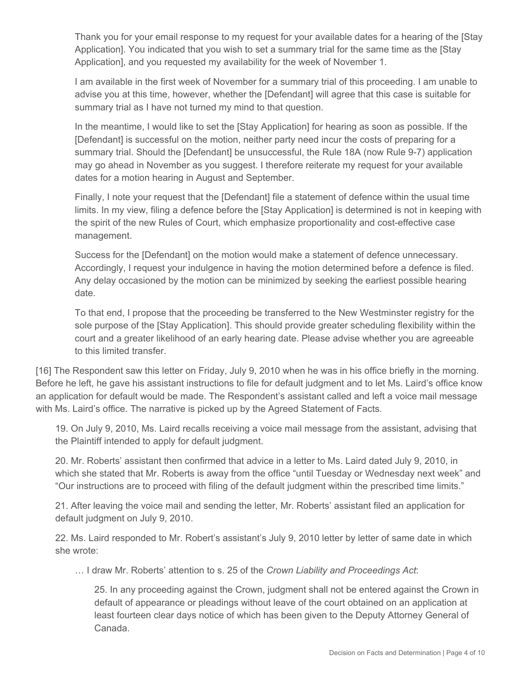Thank you for your email response to my request for your available dates for a hearing of the [Stay Application]. You indicated that you wish to set a summary trial for the same time as the [Stay Application], and you requested my availability for the week of November 1.

I am available in the first week of November for a summary trial of this proceeding. I am unable to advise you at this time, however, whether the [Defendant] will agree that this case is suitable for summary trial as I have not turned my mind to that question.

In the meantime, I would like to set the [Stay Application] for hearing as soon as possible. If the [Defendant] is successful on the motion, neither party need incur the costs of preparing for a summary trial. Should the [Defendant] be unsuccessful, the Rule 18A (now Rule 9-7) application may go ahead in November as you suggest. I therefore reiterate my request for your available dates for a motion hearing in August and September.

Finally, I note your request that the [Defendant] file a statement of defence within the usual time limits. In my view, filing a defence before the [Stay Application] is determined is not in keeping with the spirit of the new Rules of Court, which emphasize proportionality and cost-effective case management.

Success for the [Defendant] on the motion would make a statement of defence unnecessary. Accordingly, I request your indulgence in having the motion determined before a defence is filed. Any delay occasioned by the motion can be minimized by seeking the earliest possible hearing date.

To that end, I propose that the proceeding be transferred to the New Westminster registry for the sole purpose of the [Stay Application]. This should provide greater scheduling flexibility within the court and a greater likelihood of an early hearing date. Please advise whether you are agreeable to this limited transfer.

[16] The Respondent saw this letter on Friday, July 9, 2010 when he was in his office briefly in the morning. Before he left, he gave his assistant instructions to file for default judgment and to let Ms. Laird's office know an application for default would be made. The Respondent's assistant called and left a voice mail message with Ms. Laird's office. The narrative is picked up by the Agreed Statement of Facts.

19. On July 9, 2010, Ms. Laird recalls receiving a voice mail message from the assistant, advising that the Plaintiff intended to apply for default judgment.

20. Mr. Roberts' assistant then confirmed that advice in a letter to Ms. Laird dated July 9, 2010, in which she stated that Mr. Roberts is away from the office "until Tuesday or Wednesday next week" and "Our instructions are to proceed with filing of the default judgment within the prescribed time limits."

21. After leaving the voice mail and sending the letter, Mr. Roberts' assistant filed an application for default judgment on July 9, 2010.

22. Ms. Laird responded to Mr. Robert's assistant's July 9, 2010 letter by letter of same date in which she wrote:

… I draw Mr. Roberts' attention to s. 25 of the *Crown Liability and Proceedings Act*:

25. In any proceeding against the Crown, judgment shall not be entered against the Crown in default of appearance or pleadings without leave of the court obtained on an application at least fourteen clear days notice of which has been given to the Deputy Attorney General of Canada.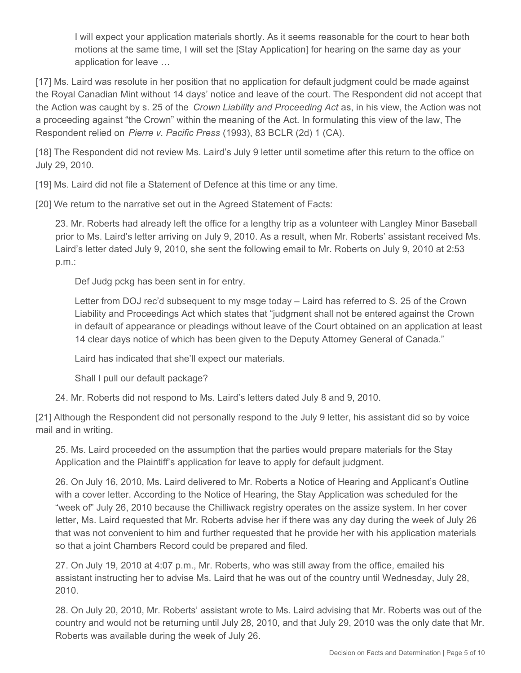I will expect your application materials shortly. As it seems reasonable for the court to hear both motions at the same time, I will set the [Stay Application] for hearing on the same day as your application for leave …

[17] Ms. Laird was resolute in her position that no application for default judgment could be made against the Royal Canadian Mint without 14 days' notice and leave of the court. The Respondent did not accept that the Action was caught by s. 25 of the *Crown Liability and Proceeding Act* as, in his view, the Action was not a proceeding against "the Crown" within the meaning of the Act. In formulating this view of the law, The Respondent relied on *Pierre v. Pacific Press* (1993), 83 BCLR (2d) 1 (CA).

[18] The Respondent did not review Ms. Laird's July 9 letter until sometime after this return to the office on July 29, 2010.

[19] Ms. Laird did not file a Statement of Defence at this time or any time.

[20] We return to the narrative set out in the Agreed Statement of Facts:

23. Mr. Roberts had already left the office for a lengthy trip as a volunteer with Langley Minor Baseball prior to Ms. Laird's letter arriving on July 9, 2010. As a result, when Mr. Roberts' assistant received Ms. Laird's letter dated July 9, 2010, she sent the following email to Mr. Roberts on July 9, 2010 at 2:53 p.m.:

Def Judg pckg has been sent in for entry.

Letter from DOJ rec'd subsequent to my msge today – Laird has referred to S. 25 of the Crown Liability and Proceedings Act which states that "judgment shall not be entered against the Crown in default of appearance or pleadings without leave of the Court obtained on an application at least 14 clear days notice of which has been given to the Deputy Attorney General of Canada."

Laird has indicated that she'll expect our materials.

Shall I pull our default package?

24. Mr. Roberts did not respond to Ms. Laird's letters dated July 8 and 9, 2010.

[21] Although the Respondent did not personally respond to the July 9 letter, his assistant did so by voice mail and in writing.

25. Ms. Laird proceeded on the assumption that the parties would prepare materials for the Stay Application and the Plaintiff's application for leave to apply for default judgment.

26. On July 16, 2010, Ms. Laird delivered to Mr. Roberts a Notice of Hearing and Applicant's Outline with a cover letter. According to the Notice of Hearing, the Stay Application was scheduled for the "week of" July 26, 2010 because the Chilliwack registry operates on the assize system. In her cover letter, Ms. Laird requested that Mr. Roberts advise her if there was any day during the week of July 26 that was not convenient to him and further requested that he provide her with his application materials so that a joint Chambers Record could be prepared and filed.

27. On July 19, 2010 at 4:07 p.m., Mr. Roberts, who was still away from the office, emailed his assistant instructing her to advise Ms. Laird that he was out of the country until Wednesday, July 28, 2010.

28. On July 20, 2010, Mr. Roberts' assistant wrote to Ms. Laird advising that Mr. Roberts was out of the country and would not be returning until July 28, 2010, and that July 29, 2010 was the only date that Mr. Roberts was available during the week of July 26.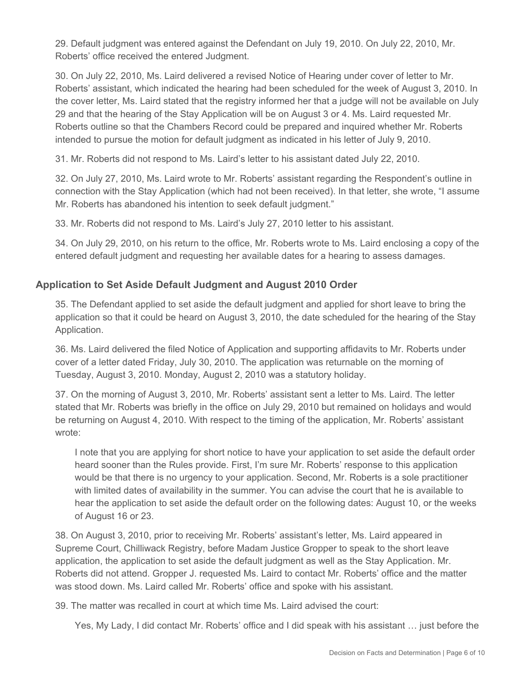29. Default judgment was entered against the Defendant on July 19, 2010. On July 22, 2010, Mr. Roberts' office received the entered Judgment.

30. On July 22, 2010, Ms. Laird delivered a revised Notice of Hearing under cover of letter to Mr. Roberts' assistant, which indicated the hearing had been scheduled for the week of August 3, 2010. In the cover letter, Ms. Laird stated that the registry informed her that a judge will not be available on July 29 and that the hearing of the Stay Application will be on August 3 or 4. Ms. Laird requested Mr. Roberts outline so that the Chambers Record could be prepared and inquired whether Mr. Roberts intended to pursue the motion for default judgment as indicated in his letter of July 9, 2010.

31. Mr. Roberts did not respond to Ms. Laird's letter to his assistant dated July 22, 2010.

32. On July 27, 2010, Ms. Laird wrote to Mr. Roberts' assistant regarding the Respondent's outline in connection with the Stay Application (which had not been received). In that letter, she wrote, "I assume Mr. Roberts has abandoned his intention to seek default judgment."

33. Mr. Roberts did not respond to Ms. Laird's July 27, 2010 letter to his assistant.

34. On July 29, 2010, on his return to the office, Mr. Roberts wrote to Ms. Laird enclosing a copy of the entered default judgment and requesting her available dates for a hearing to assess damages.

### **Application to Set Aside Default Judgment and August 2010 Order**

35. The Defendant applied to set aside the default judgment and applied for short leave to bring the application so that it could be heard on August 3, 2010, the date scheduled for the hearing of the Stay Application.

36. Ms. Laird delivered the filed Notice of Application and supporting affidavits to Mr. Roberts under cover of a letter dated Friday, July 30, 2010. The application was returnable on the morning of Tuesday, August 3, 2010. Monday, August 2, 2010 was a statutory holiday.

37. On the morning of August 3, 2010, Mr. Roberts' assistant sent a letter to Ms. Laird. The letter stated that Mr. Roberts was briefly in the office on July 29, 2010 but remained on holidays and would be returning on August 4, 2010. With respect to the timing of the application, Mr. Roberts' assistant wrote:

I note that you are applying for short notice to have your application to set aside the default order heard sooner than the Rules provide. First, I'm sure Mr. Roberts' response to this application would be that there is no urgency to your application. Second, Mr. Roberts is a sole practitioner with limited dates of availability in the summer. You can advise the court that he is available to hear the application to set aside the default order on the following dates: August 10, or the weeks of August 16 or 23.

38. On August 3, 2010, prior to receiving Mr. Roberts' assistant's letter, Ms. Laird appeared in Supreme Court, Chilliwack Registry, before Madam Justice Gropper to speak to the short leave application, the application to set aside the default judgment as well as the Stay Application. Mr. Roberts did not attend. Gropper J. requested Ms. Laird to contact Mr. Roberts' office and the matter was stood down. Ms. Laird called Mr. Roberts' office and spoke with his assistant.

39. The matter was recalled in court at which time Ms. Laird advised the court:

Yes, My Lady, I did contact Mr. Roberts' office and I did speak with his assistant … just before the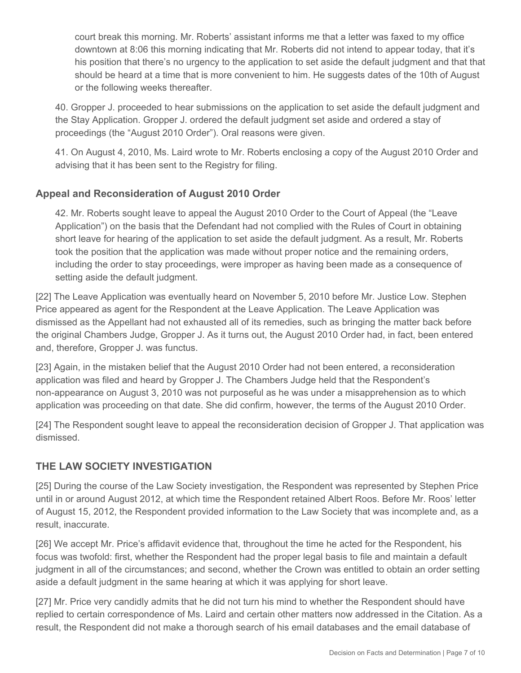court break this morning. Mr. Roberts' assistant informs me that a letter was faxed to my office downtown at 8:06 this morning indicating that Mr. Roberts did not intend to appear today, that it's his position that there's no urgency to the application to set aside the default judgment and that that should be heard at a time that is more convenient to him. He suggests dates of the 10th of August or the following weeks thereafter.

40. Gropper J. proceeded to hear submissions on the application to set aside the default judgment and the Stay Application. Gropper J. ordered the default judgment set aside and ordered a stay of proceedings (the "August 2010 Order"). Oral reasons were given.

41. On August 4, 2010, Ms. Laird wrote to Mr. Roberts enclosing a copy of the August 2010 Order and advising that it has been sent to the Registry for filing.

## **Appeal and Reconsideration of August 2010 Order**

42. Mr. Roberts sought leave to appeal the August 2010 Order to the Court of Appeal (the "Leave Application") on the basis that the Defendant had not complied with the Rules of Court in obtaining short leave for hearing of the application to set aside the default judgment. As a result, Mr. Roberts took the position that the application was made without proper notice and the remaining orders, including the order to stay proceedings, were improper as having been made as a consequence of setting aside the default judgment.

[22] The Leave Application was eventually heard on November 5, 2010 before Mr. Justice Low. Stephen Price appeared as agent for the Respondent at the Leave Application. The Leave Application was dismissed as the Appellant had not exhausted all of its remedies, such as bringing the matter back before the original Chambers Judge, Gropper J. As it turns out, the August 2010 Order had, in fact, been entered and, therefore, Gropper J. was functus.

[23] Again, in the mistaken belief that the August 2010 Order had not been entered, a reconsideration application was filed and heard by Gropper J. The Chambers Judge held that the Respondent's non-appearance on August 3, 2010 was not purposeful as he was under a misapprehension as to which application was proceeding on that date. She did confirm, however, the terms of the August 2010 Order.

[24] The Respondent sought leave to appeal the reconsideration decision of Gropper J. That application was dismissed.

## **THE LAW SOCIETY INVESTIGATION**

[25] During the course of the Law Society investigation, the Respondent was represented by Stephen Price until in or around August 2012, at which time the Respondent retained Albert Roos. Before Mr. Roos' letter of August 15, 2012, the Respondent provided information to the Law Society that was incomplete and, as a result, inaccurate.

[26] We accept Mr. Price's affidavit evidence that, throughout the time he acted for the Respondent, his focus was twofold: first, whether the Respondent had the proper legal basis to file and maintain a default judgment in all of the circumstances; and second, whether the Crown was entitled to obtain an order setting aside a default judgment in the same hearing at which it was applying for short leave.

[27] Mr. Price very candidly admits that he did not turn his mind to whether the Respondent should have replied to certain correspondence of Ms. Laird and certain other matters now addressed in the Citation. As a result, the Respondent did not make a thorough search of his email databases and the email database of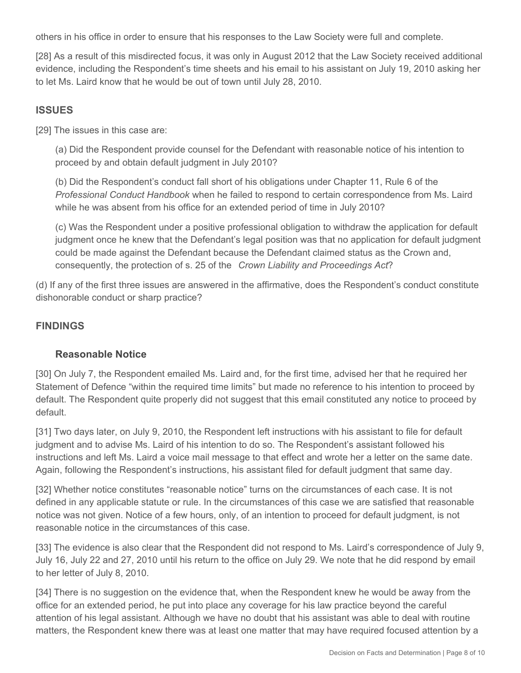others in his office in order to ensure that his responses to the Law Society were full and complete.

[28] As a result of this misdirected focus, it was only in August 2012 that the Law Society received additional evidence, including the Respondent's time sheets and his email to his assistant on July 19, 2010 asking her to let Ms. Laird know that he would be out of town until July 28, 2010.

#### **ISSUES**

[29] The issues in this case are:

(a) Did the Respondent provide counsel for the Defendant with reasonable notice of his intention to proceed by and obtain default judgment in July 2010?

(b) Did the Respondent's conduct fall short of his obligations under Chapter 11, Rule 6 of the *Professional Conduct Handbook* when he failed to respond to certain correspondence from Ms. Laird while he was absent from his office for an extended period of time in July 2010?

(c) Was the Respondent under a positive professional obligation to withdraw the application for default judgment once he knew that the Defendant's legal position was that no application for default judgment could be made against the Defendant because the Defendant claimed status as the Crown and, consequently, the protection of s. 25 of the *Crown Liability and Proceedings Act*?

(d) If any of the first three issues are answered in the affirmative, does the Respondent's conduct constitute dishonorable conduct or sharp practice?

### **FINDINGS**

#### **Reasonable Notice**

[30] On July 7, the Respondent emailed Ms. Laird and, for the first time, advised her that he required her Statement of Defence "within the required time limits" but made no reference to his intention to proceed by default. The Respondent quite properly did not suggest that this email constituted any notice to proceed by default.

[31] Two days later, on July 9, 2010, the Respondent left instructions with his assistant to file for default judgment and to advise Ms. Laird of his intention to do so. The Respondent's assistant followed his instructions and left Ms. Laird a voice mail message to that effect and wrote her a letter on the same date. Again, following the Respondent's instructions, his assistant filed for default judgment that same day.

[32] Whether notice constitutes "reasonable notice" turns on the circumstances of each case. It is not defined in any applicable statute or rule. In the circumstances of this case we are satisfied that reasonable notice was not given. Notice of a few hours, only, of an intention to proceed for default judgment, is not reasonable notice in the circumstances of this case.

[33] The evidence is also clear that the Respondent did not respond to Ms. Laird's correspondence of July 9, July 16, July 22 and 27, 2010 until his return to the office on July 29. We note that he did respond by email to her letter of July 8, 2010.

[34] There is no suggestion on the evidence that, when the Respondent knew he would be away from the office for an extended period, he put into place any coverage for his law practice beyond the careful attention of his legal assistant. Although we have no doubt that his assistant was able to deal with routine matters, the Respondent knew there was at least one matter that may have required focused attention by a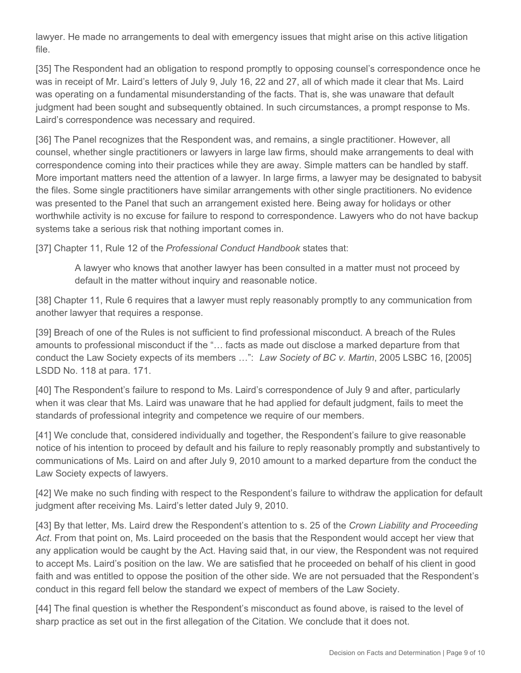lawyer. He made no arrangements to deal with emergency issues that might arise on this active litigation file.

[35] The Respondent had an obligation to respond promptly to opposing counsel's correspondence once he was in receipt of Mr. Laird's letters of July 9, July 16, 22 and 27, all of which made it clear that Ms. Laird was operating on a fundamental misunderstanding of the facts. That is, she was unaware that default judgment had been sought and subsequently obtained. In such circumstances, a prompt response to Ms. Laird's correspondence was necessary and required.

[36] The Panel recognizes that the Respondent was, and remains, a single practitioner. However, all counsel, whether single practitioners or lawyers in large law firms, should make arrangements to deal with correspondence coming into their practices while they are away. Simple matters can be handled by staff. More important matters need the attention of a lawyer. In large firms, a lawyer may be designated to babysit the files. Some single practitioners have similar arrangements with other single practitioners. No evidence was presented to the Panel that such an arrangement existed here. Being away for holidays or other worthwhile activity is no excuse for failure to respond to correspondence. Lawyers who do not have backup systems take a serious risk that nothing important comes in.

[37] Chapter 11, Rule 12 of the *Professional Conduct Handbook* states that:

A lawyer who knows that another lawyer has been consulted in a matter must not proceed by default in the matter without inquiry and reasonable notice.

[38] Chapter 11, Rule 6 requires that a lawyer must reply reasonably promptly to any communication from another lawyer that requires a response.

[39] Breach of one of the Rules is not sufficient to find professional misconduct. A breach of the Rules amounts to professional misconduct if the "… facts as made out disclose a marked departure from that conduct the Law Society expects of its members …": *Law Society of BC v. Martin*, 2005 LSBC 16, [2005] LSDD No. 118 at para. 171.

[40] The Respondent's failure to respond to Ms. Laird's correspondence of July 9 and after, particularly when it was clear that Ms. Laird was unaware that he had applied for default judgment, fails to meet the standards of professional integrity and competence we require of our members.

[41] We conclude that, considered individually and together, the Respondent's failure to give reasonable notice of his intention to proceed by default and his failure to reply reasonably promptly and substantively to communications of Ms. Laird on and after July 9, 2010 amount to a marked departure from the conduct the Law Society expects of lawyers.

[42] We make no such finding with respect to the Respondent's failure to withdraw the application for default judgment after receiving Ms. Laird's letter dated July 9, 2010.

[43] By that letter, Ms. Laird drew the Respondent's attention to s. 25 of the *Crown Liability and Proceeding Act*. From that point on, Ms. Laird proceeded on the basis that the Respondent would accept her view that any application would be caught by the Act. Having said that, in our view, the Respondent was not required to accept Ms. Laird's position on the law. We are satisfied that he proceeded on behalf of his client in good faith and was entitled to oppose the position of the other side. We are not persuaded that the Respondent's conduct in this regard fell below the standard we expect of members of the Law Society.

[44] The final question is whether the Respondent's misconduct as found above, is raised to the level of sharp practice as set out in the first allegation of the Citation. We conclude that it does not.